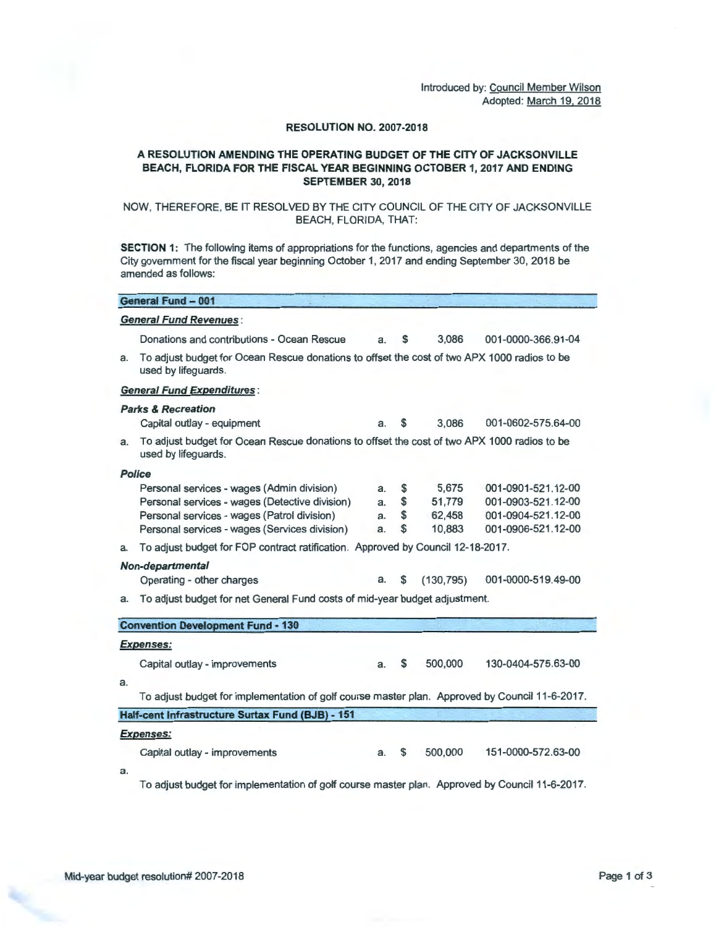Introduced by: Council Member Wilson Adopted: March 19. 2018

### RESOLUTION NO. 2007-2018

# A RESOLUTION AMENDING THE OPERATING BUDGET OF THE CITY OF JACKSONVILLE BEACH, FLORIDA FOR THE FISCAL YEAR BEGINNING OCTOBER 1, 2017 AND ENDING SEPTEMBER 30, 2018

## NOW, THEREFORE, BE IT RESOLVED BY THE CITY COUNCIL OF THE CITY OF JACKSONVILLE BEACH, FLORIDA, THAT:

SECTION 1: The following items of appropriations for the functions, agencies and departments of the City government for the fiscal year beginning October 1, 2017 and ending September 30, 2018 be amended as follows:

|    | <b><i><u>ASSEMBLING &amp; MASSING AND BLIND AND BLIND AND BLIND AND BLITD AND BLITD AND BLITD AND BLITD AND BLITD AND BLITD AND BLITD AND BLITD AND BLITD AND BLITD AND BLITD AND BLITD AND BLITD AND BLITD AND BLITD AND BLITD AND BLIT</u></i></b> |    |    |            |                    |
|----|------------------------------------------------------------------------------------------------------------------------------------------------------------------------------------------------------------------------------------------------------|----|----|------------|--------------------|
|    | <b>General Fund Revenues:</b>                                                                                                                                                                                                                        |    |    |            |                    |
|    | Donations and contributions - Ocean Rescue                                                                                                                                                                                                           | a. | \$ | 3.086      | 001-0000-366.91-04 |
| a. | To adjust budget for Ocean Rescue donations to offset the cost of two APX 1000 radios to be<br>used by lifeguards.                                                                                                                                   |    |    |            |                    |
|    | <b>General Fund Expenditures:</b>                                                                                                                                                                                                                    |    |    |            |                    |
|    | <b>Parks &amp; Recreation</b>                                                                                                                                                                                                                        |    |    |            |                    |
|    | Capital outlay - equipment                                                                                                                                                                                                                           | a. | S  | 3,086      | 001-0602-575.64-00 |
| а. | To adjust budget for Ocean Rescue donations to offset the cost of two APX 1000 radios to be<br>used by lifeguards.                                                                                                                                   |    |    |            |                    |
|    | <b>Police</b>                                                                                                                                                                                                                                        |    |    |            |                    |
|    | Personal services - wages (Admin division)                                                                                                                                                                                                           | а. | \$ | 5,675      | 001-0901-521.12-00 |
|    | Personal services - wages (Detective division)                                                                                                                                                                                                       | a. | \$ | 51,779     | 001-0903-521.12-00 |
|    | Personal services - wages (Patrol division)                                                                                                                                                                                                          | a. | \$ | 62,458     | 001-0904-521.12-00 |
|    | Personal services - wages (Services division)                                                                                                                                                                                                        | a. | \$ | 10,883     | 001-0906-521.12-00 |
| а. | To adjust budget for FOP contract ratification. Approved by Council 12-18-2017.                                                                                                                                                                      |    |    |            |                    |
|    | Non-departmental                                                                                                                                                                                                                                     |    |    |            |                    |
|    | Operating - other charges                                                                                                                                                                                                                            | a. | S  | (130, 795) | 001-0000-519.49-00 |
| а. | To adjust budget for net General Fund costs of mid-year budget adjustment.                                                                                                                                                                           |    |    |            |                    |
|    | <b>Convention Development Fund - 130</b>                                                                                                                                                                                                             |    |    |            |                    |
|    | <b>Expenses:</b>                                                                                                                                                                                                                                     |    |    |            |                    |
|    | Capital outlay - improvements                                                                                                                                                                                                                        | a. | \$ | 500,000    | 130-0404-575.63-00 |
| a. |                                                                                                                                                                                                                                                      |    |    |            |                    |
|    | To adjust budget for implementation of golf course master plan. Approved by Council 11-6-2017.                                                                                                                                                       |    |    |            |                    |
|    | Half-cent Infrastructure Surtax Fund (BJB) - 151                                                                                                                                                                                                     |    |    |            |                    |
|    | <b>Expenses:</b>                                                                                                                                                                                                                                     |    |    |            |                    |
|    | Capital outlay - improvements                                                                                                                                                                                                                        | a. | S  | 500,000    | 151-0000-572.63-00 |
| a. |                                                                                                                                                                                                                                                      |    |    |            |                    |
|    | To adjust budget for implementation of golf course master plan. Approved by Council 11-6-2017.                                                                                                                                                       |    |    |            |                    |
|    |                                                                                                                                                                                                                                                      |    |    |            |                    |

General Fund - 001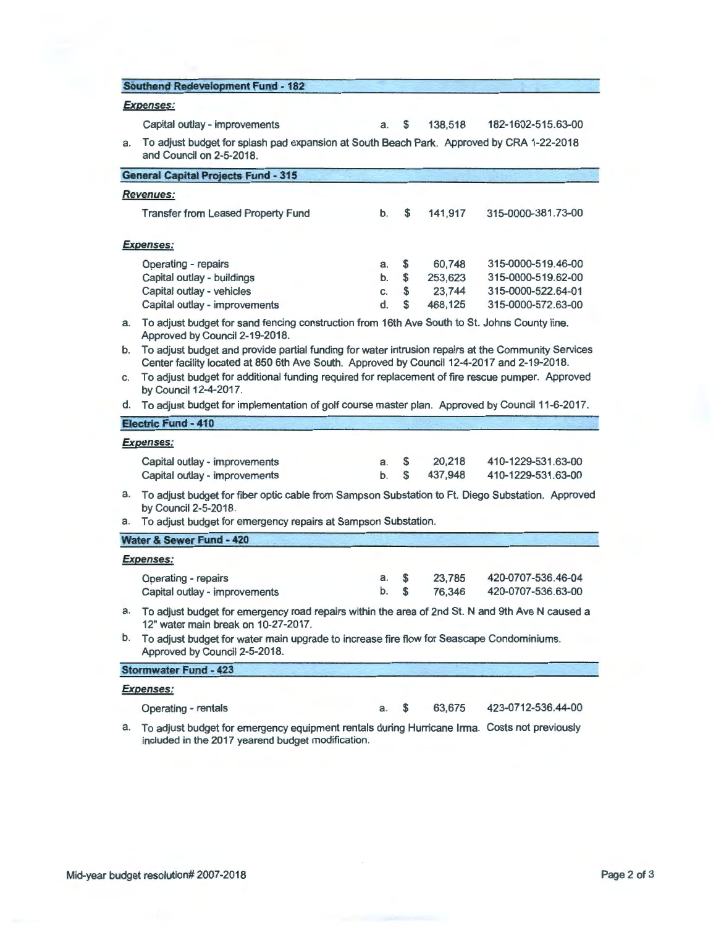| <b>Southend Redevelopment Fund - 182</b> |  |  |
|------------------------------------------|--|--|
|                                          |  |  |
|                                          |  |  |

## **Expenses:**

| Capital outlay - improvements                                                                                               |  | 138,518 | 182-1602-515.63-00 |
|-----------------------------------------------------------------------------------------------------------------------------|--|---------|--------------------|
| a.    To adjust budget for splash pad expansion at South Beach Park.  Approved by CRA 1-22-2018<br>and Council on 2-5-2018. |  |         |                    |

|          | <b>General Capital Projects Fund - 315</b>                                                                                                                                                                                           |                      |                     |                                        |                                                                                      |  |  |  |  |
|----------|--------------------------------------------------------------------------------------------------------------------------------------------------------------------------------------------------------------------------------------|----------------------|---------------------|----------------------------------------|--------------------------------------------------------------------------------------|--|--|--|--|
|          | <b>Revenues:</b>                                                                                                                                                                                                                     |                      |                     |                                        |                                                                                      |  |  |  |  |
|          | <b>Transfer from Leased Property Fund</b>                                                                                                                                                                                            | b.                   | \$                  | 141,917                                | 315-0000-381.73-00                                                                   |  |  |  |  |
|          | <b>Expenses:</b>                                                                                                                                                                                                                     |                      |                     |                                        |                                                                                      |  |  |  |  |
|          | Operating - repairs<br>Capital outlay - buildings<br>Capital outlay - vehicles<br>Capital outlay - improvements                                                                                                                      | a.<br>b.<br>C.<br>d. | \$<br>\$<br>\$<br>S | 60,748<br>253,623<br>23,744<br>468,125 | 315-0000-519.46-00<br>315-0000-519.62-00<br>315-0000-522.64-01<br>315-0000-572.63-00 |  |  |  |  |
| а.<br>b. | To adjust budget for sand fencing construction from 16th Ave South to St. Johns County line.<br>Approved by Council 2-19-2018.<br>To adjust budget and provide partial funding for water intrusion repairs at the Community Services |                      |                     |                                        |                                                                                      |  |  |  |  |
|          | Center facility located at 850 6th Ave South. Approved by Council 12-4-2017 and 2-19-2018.                                                                                                                                           |                      |                     |                                        |                                                                                      |  |  |  |  |
| C.       | To adjust budget for additional funding required for replacement of fire rescue pumper. Approved<br>by Council 12-4-2017.                                                                                                            |                      |                     |                                        |                                                                                      |  |  |  |  |
| d.       | To adjust budget for implementation of golf course master plan. Approved by Council 11-6-2017.                                                                                                                                       |                      |                     |                                        |                                                                                      |  |  |  |  |
|          | Electric Fund - 410                                                                                                                                                                                                                  |                      |                     |                                        |                                                                                      |  |  |  |  |
|          | <b>Expenses:</b>                                                                                                                                                                                                                     |                      |                     |                                        |                                                                                      |  |  |  |  |
|          | Capital outlay - improvements<br>Capital outlay - improvements                                                                                                                                                                       | a.<br>b.             | \$<br>\$            | 20,218<br>437,948                      | 410-1229-531.63-00<br>410-1229-531.63-00                                             |  |  |  |  |
| а.<br>а. | To adjust budget for fiber optic cable from Sampson Substation to Ft. Diego Substation. Approved<br>by Council 2-5-2018.<br>To adjust budget for emergency repairs at Sampson Substation.                                            |                      |                     |                                        |                                                                                      |  |  |  |  |
|          | Water & Sewer Fund - 420                                                                                                                                                                                                             |                      |                     |                                        |                                                                                      |  |  |  |  |
|          |                                                                                                                                                                                                                                      |                      |                     |                                        |                                                                                      |  |  |  |  |
|          | <b>Expenses:</b><br>Operating - repairs<br>Capital outlay - improvements                                                                                                                                                             | a.<br>b.             | \$<br>\$            | 23,785<br>76,346                       | 420-0707-536.46-04<br>420-0707-536.63-00                                             |  |  |  |  |
| а.       | To adjust budget for emergency road repairs within the area of 2nd St. N and 9th Ave N caused a<br>12" water main break on 10-27-2017.                                                                                               |                      |                     |                                        |                                                                                      |  |  |  |  |
| b.       | To adjust budget for water main upgrade to increase fire flow for Seascape Condominiums.<br>Approved by Council 2-5-2018.                                                                                                            |                      |                     |                                        |                                                                                      |  |  |  |  |
|          | <b>Stormwater Fund - 423</b>                                                                                                                                                                                                         |                      |                     |                                        |                                                                                      |  |  |  |  |
|          | Expenses:                                                                                                                                                                                                                            |                      |                     |                                        |                                                                                      |  |  |  |  |

Operating - rentals a. \$ 63,675 423-0712-536.44-00

a. To adjust budget for emergency equipment rentals during Hurricane Irma. Costs not previously included in the 2017 yearend budget modification.